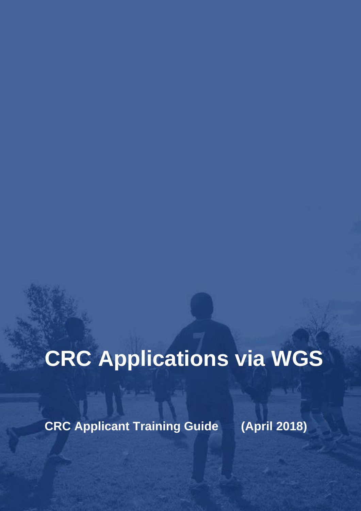# **CRC Applications via WGS**

**CRC Applicant Training Guide (April 2018)**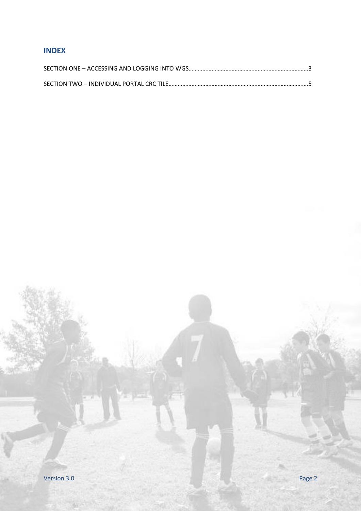## **INDEX**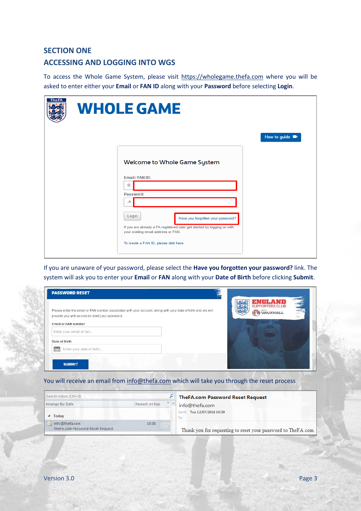## **SECTION ONE**

## **ACCESSING AND LOGGING INTO WGS**

To access the Whole Game System, please visit [https://wholegame.thefa.com](https://wholegame.thefa.com/) where you will be asked to enter either your **Email** or **FAN ID** along with your **Password** before selecting **Login**.

| <b>The FA</b> | <b>WHOLE GAME</b> |                                                                                                                                                                                                                                                                                  |                       |  |  |  |  |
|---------------|-------------------|----------------------------------------------------------------------------------------------------------------------------------------------------------------------------------------------------------------------------------------------------------------------------------|-----------------------|--|--|--|--|
|               |                   |                                                                                                                                                                                                                                                                                  | How to guide <b>R</b> |  |  |  |  |
|               |                   | Welcome to Whole Game System<br>Email / FAN ID:<br>$\varpi$<br>Password:<br>Login<br>Have you forgotten your password?<br>If you are already a FA registered user get started by logging on with<br>your existing email address or FAN.<br>To create a FAN ID, please click here |                       |  |  |  |  |

If you are unaware of your password, please select the **Have you forgotten your password?** link. The system will ask you to enter your **Email** or **FAN** along with your **Date of Birth** before clicking **Submit**.

| Please enter the email or FAN number associated with your account, along with your date of birth and we will | <b>SUPPORTERS CLUB</b><br>VAUXHALL |
|--------------------------------------------------------------------------------------------------------------|------------------------------------|
| provide you with access to reset your password.                                                              | ment is                            |
| <b>Email or FAN number</b>                                                                                   |                                    |
| Enter your email or fan                                                                                      |                                    |
| Date of Birth                                                                                                |                                    |
| $\frac{d\mathbf{u}d\mathbf{v}}{(\text{true})}$<br>Enter your date of birth                                   |                                    |
|                                                                                                              |                                    |

You will receive an email from [info@thefa.com](mailto:info@thefa.com) which will take you through the reset process

| Search Inbox (Ctrl+E)                              |                                | <b>TheFA.com Password Reset Request</b>                       |
|----------------------------------------------------|--------------------------------|---------------------------------------------------------------|
| Arrange By: Date                                   | $\frac{1}{2}$<br>Newest on top | info@thefa.com                                                |
| <b>Todav</b>                                       |                                | Sent: Tue 12/07/2016 10:39<br>To:                             |
| info@thefa.com<br>TheFA.com Password Reset Request | 10:38                          | Thank you for requesting to reset your password to TheFA.com. |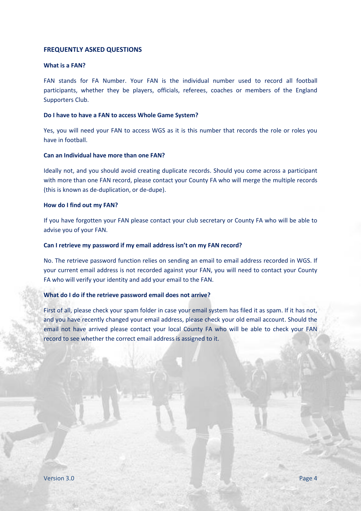#### **FREQUENTLY ASKED QUESTIONS**

#### **What is a FAN?**

FAN stands for FA Number. Your FAN is the individual number used to record all football participants, whether they be players, officials, referees, coaches or members of the England Supporters Club.

#### **Do I have to have a FAN to access Whole Game System?**

Yes, you will need your FAN to access WGS as it is this number that records the role or roles you have in football.

#### **Can an Individual have more than one FAN?**

Ideally not, and you should avoid creating duplicate records. Should you come across a participant with more than one FAN record, please contact your County FA who will merge the multiple records (this is known as de-duplication, or de-dupe).

#### **How do I find out my FAN?**

If you have forgotten your FAN please contact your club secretary or County FA who will be able to advise you of your FAN.

#### **Can I retrieve my password if my email address isn't on my FAN record?**

No. The retrieve password function relies on sending an email to email address recorded in WGS. If your current email address is not recorded against your FAN, you will need to contact your County FA who will verify your identity and add your email to the FAN.

#### **What do I do if the retrieve password email does not arrive?**

First of all, please check your spam folder in case your email system has filed it as spam. If it has not, and you have recently changed your email address, please check your old email account. Should the email not have arrived please contact your local County FA who will be able to check your FAN record to see whether the correct email address is assigned to it.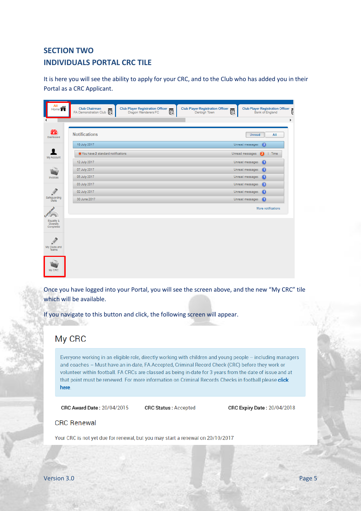# **SECTION TWO INDIVIDUALS PORTAL CRC TILE**

It is here you will see the ability to apply for your CRC, and to the Club who has added you in their Portal as a CRC Applicant.

| All<br>$H_{\text{D}}$        | <b>Club Chairman</b><br>FA Demonstration Club <sup>(2)</sup> | Club Player Registration Officer | Club Player Registration Officer | Club Player Registration Officer |
|------------------------------|--------------------------------------------------------------|----------------------------------|----------------------------------|----------------------------------|
|                              |                                                              |                                  |                                  | Þ                                |
| <b>Dashboard</b>             | <b>Notifications</b>                                         |                                  |                                  | Unread<br>All                    |
|                              | 18 July 2017                                                 |                                  |                                  | Unread messages 2                |
| My Account                   | ● You have 2 standard notifications                          |                                  |                                  | Unread messages<br>  Time<br>А   |
|                              | 12 July 2017                                                 |                                  |                                  | Unread messages<br>$\bullet$     |
|                              | 07 July 2017                                                 |                                  |                                  | Unread messages 1                |
| Involces                     | 05 July 2017                                                 |                                  |                                  | Unread messages<br>$\bullet$     |
|                              | 03 July 2017                                                 |                                  |                                  | Unread messages 3                |
|                              | 02 July 2017                                                 |                                  |                                  | Unread messages 1                |
| Safeguarding<br>Visits       | 30 June 2017                                                 |                                  |                                  | Unread messages 1                |
| Completed                    |                                                              |                                  |                                  | More notifications               |
| Equality &<br>Diversity      |                                                              |                                  |                                  |                                  |
| Completed                    |                                                              |                                  |                                  |                                  |
| My Clubs and<br><b>Teams</b> |                                                              |                                  |                                  |                                  |
| My CRC                       |                                                              |                                  |                                  |                                  |

Once you have logged into your Portal, you will see the screen above, and the new "My CRC" tile which will be available.

If you navigate to this button and click, the following screen will appear.

# My CRC

Everyone working in an eligible role, directly working with children and young people - including managers and coaches - Must have an in-date, FA Accepted, Criminal Record Check (CRC) before they work or volunteer within football. FA CRCs are classed as being in-date for 3 years from the date of issue and at that point must be renewed. For more information on Criminal Records Checks in football please click here.

CRC Award Date: 20/04/2015

**CRC Status: Accepted** 

CRC Expiry Date: 20/04/2018

### **CRC Renewal**

Your CRC is not yet due for renewal, but you may start a renewal on 20/10/2017